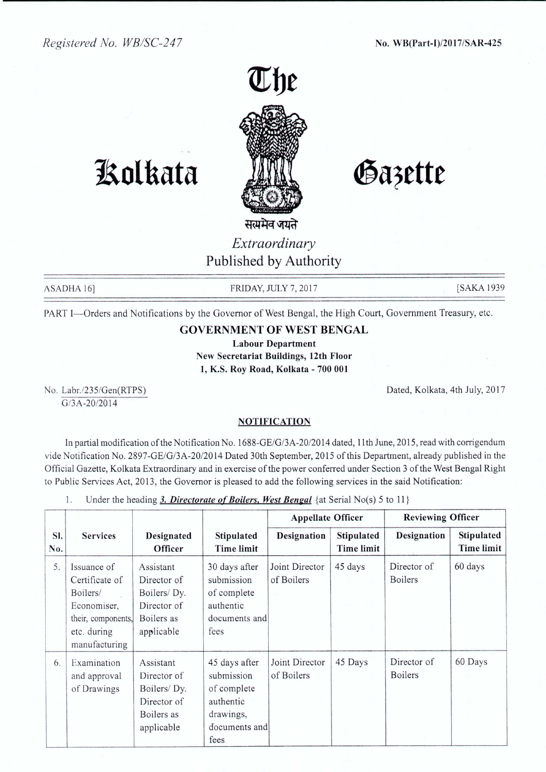

## **JAotkata**

Gazette

सत्यमैव जयते *Extraordinary* Published by Authority

ASADHA 16] FRIDAY, JULY 7, 2017 [SAKA 1939]

PART I-Orders and Notifications by the Governor of West Bengal, the High Court, Government Treasury, etc.

## GOVERNMENT **OF** WEST BENGAL

Labour Department New Secretariat Buildings, 12th Floor 1, KS. Roy Road, Kolkata - 700 001

No. Labr./235/Gen(RTPS) G/3A-20/20 14

Dated, Kolkata, 4th July, 2017

## **NOTIFICATION**

In partial modification of the Notification No. 1688-GE/G/3A-20/20 14dated, 11th June, 2015, read with corrigendum vide Notification No. 2897-GE/G/3A-20/2014 Dated 30th September, 2015 of this Department, already published in the Official Gazette, Kolkata Extraordinary and in exercise of the power conferred under Section 3 of the West Bengal Right to Public Services Act, 2013, the Governor is pleased to add the following services in the said Notification:

|  |  | Under the heading 3. Directorate of Boilers, West Bengal {at Serial No(s) 5 to 11} |  |  |  |  |  |  |  |
|--|--|------------------------------------------------------------------------------------|--|--|--|--|--|--|--|
|--|--|------------------------------------------------------------------------------------|--|--|--|--|--|--|--|

|            |                                                                                                                |                                                                                    |                                                                                               | <b>Appellate Officer</b>     |                                 | <b>Reviewing Officer</b>      |                                 |  |
|------------|----------------------------------------------------------------------------------------------------------------|------------------------------------------------------------------------------------|-----------------------------------------------------------------------------------------------|------------------------------|---------------------------------|-------------------------------|---------------------------------|--|
| SI.<br>No. | <b>Services</b>                                                                                                | Designated<br>Officer                                                              | <b>Stipulated</b><br>Time limit                                                               | Designation                  | Stipulated<br><b>Time limit</b> | Designation                   | Stipulated<br><b>Time limit</b> |  |
| 5.         | Issuance of<br>Certificate of<br>Boilers/<br>Economiser,<br>their, components,<br>etc. during<br>manufacturing | Assistant<br>Director of<br>Boilers/Dy.<br>Director of<br>Boilers as<br>applicable | 30 days after<br>submission<br>of complete<br>authentic<br>documents and<br>fees              | Joint Director<br>of Boilers | 45 days                         | Director of<br><b>Boilers</b> | 60 days                         |  |
| 6.         | Examination<br>and approval<br>of Drawings                                                                     | Assistant<br>Director of<br>Boilers/Dy.<br>Director of<br>Boilers as<br>applicable | 45 days after<br>submission<br>of complete<br>authentic<br>drawings,<br>documents and<br>fees | Joint Director<br>of Boilers | 45 Days                         | Director of<br><b>Boilers</b> | 60 Days                         |  |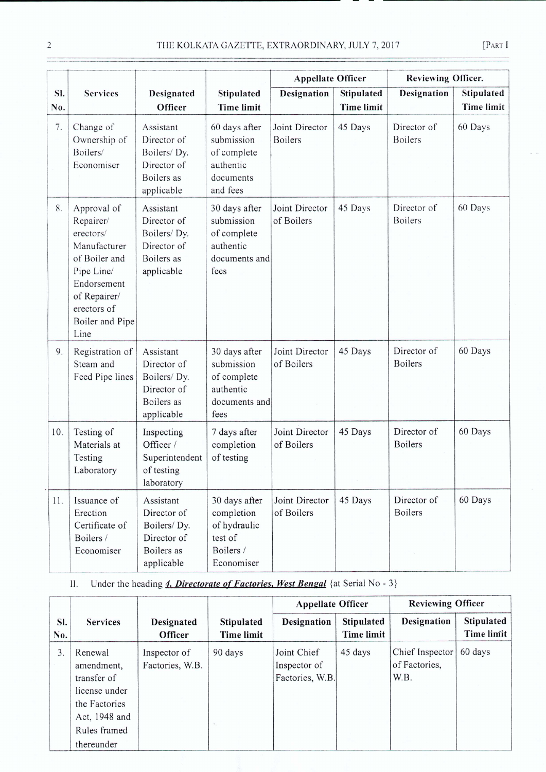|            |                                                                                                                                                               |                                                                                    |                                                                                   | <b>Appellate Officer</b>         |                                        | Reviewing Officer.            |                                 |
|------------|---------------------------------------------------------------------------------------------------------------------------------------------------------------|------------------------------------------------------------------------------------|-----------------------------------------------------------------------------------|----------------------------------|----------------------------------------|-------------------------------|---------------------------------|
| SI.<br>No. | <b>Services</b>                                                                                                                                               | Designated<br>Officer                                                              | Stipulated<br><b>Time limit</b>                                                   | <b>Designation</b>               | <b>Stipulated</b><br><b>Time limit</b> | Designation                   | Stipulated<br><b>Time limit</b> |
| 7.         | Change of<br>Ownership of<br>Boilers/<br>Economiser                                                                                                           | Assistant<br>Director of<br>Boilers/Dy.<br>Director of<br>Boilers as<br>applicable | 60 days after<br>submission<br>of complete<br>authentic<br>documents<br>and fees  | Joint Director<br><b>Boilers</b> | 45 Days                                | Director of<br><b>Boilers</b> | 60 Days                         |
| 8.         | Approval of<br>Repairer/<br>erectors/<br>Manufacturer<br>of Boiler and<br>Pipe Line/<br>Endorsement<br>of Repairer/<br>erectors of<br>Boiler and Pipe<br>Line | Assistant<br>Director of<br>Boilers/Dy.<br>Director of<br>Boilers as<br>applicable | 30 days after<br>submission<br>of complete<br>authentic<br>documents and<br>fees  | Joint Director<br>of Boilers     | 45 Days                                | Director of<br><b>Boilers</b> | 60 Days                         |
| 9.         | Registration of<br>Steam and<br>Feed Pipe lines                                                                                                               | Assistant<br>Director of<br>Boilers/Dy.<br>Director of<br>Boilers as<br>applicable | 30 days after<br>submission<br>of complete<br>authentic<br>documents and<br>fees  | Joint Director<br>of Boilers     | 45 Days                                | Director of<br><b>Boilers</b> | 60 Days                         |
| 10.        | Testing of<br>Materials at<br>Testing<br>Laboratory                                                                                                           | Inspecting<br>Officer /<br>Superintendent<br>of testing<br>laboratory              | 7 days after<br>completion<br>of testing                                          | Joint Director<br>of Boilers     | 45 Days                                | Director of<br><b>Boilers</b> | 60 Days                         |
| 11.        | Issuance of<br>Erection<br>Certificate of<br>Boilers /<br>Economiser                                                                                          | Assistant<br>Director of<br>Boilers/Dy.<br>Director of<br>Boilers as<br>applicable | 30 days after<br>completion<br>of hydraulic<br>test of<br>Boilers /<br>Economiser | Joint Director<br>of Boilers     | 45 Days                                | Director of<br><b>Boilers</b> | 60 Days                         |

II. Under the heading **4.** *Directorate of Factories. West Bengal* {at Serial No - 3}

|            |                                                                                                                       |                                 |                                 | <b>Appellate Officer</b>                       |                                 | <b>Reviewing Officer</b>                 |                          |  |
|------------|-----------------------------------------------------------------------------------------------------------------------|---------------------------------|---------------------------------|------------------------------------------------|---------------------------------|------------------------------------------|--------------------------|--|
| SI.<br>No. | <b>Services</b>                                                                                                       | Designated<br>Officer           | Stipulated<br><b>Time limit</b> | Designation                                    | Stipulated<br><b>Time limit</b> | Designation                              | Stipulated<br>Time limit |  |
| 3.         | Renewal<br>amendment.<br>transfer of<br>license under<br>the Factories<br>Act, 1948 and<br>Rules framed<br>thereunder | Inspector of<br>Factories, W.B. | 90 days<br>$\sim$               | Joint Chief<br>Inspector of<br>Factories, W.B. | 45 days                         | Chief Inspector<br>of Factories,<br>W.B. | 60 days                  |  |